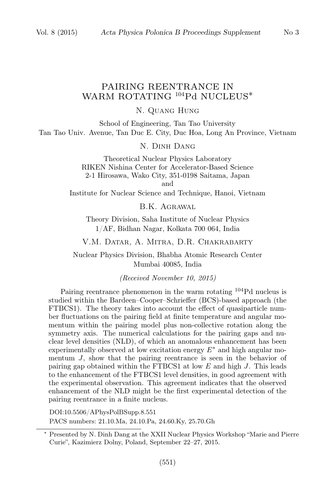# PAIRING REENTRANCE IN

# WARM ROTATING <sup>104</sup>Pd NUCLEUS<sup>\*</sup>

N. Quang Hung

School of Engineering, Tan Tao University Tan Tao Univ. Avenue, Tan Duc E. City, Duc Hoa, Long An Province, Vietnam

N. Dinh Dang

Theoretical Nuclear Physics Laboratory RIKEN Nishina Center for Accelerator-Based Science 2-1 Hirosawa, Wako City, 351-0198 Saitama, Japan and

Institute for Nuclear Science and Technique, Hanoi, Vietnam

B.K. Agrawal

Theory Division, Saha Institute of Nuclear Physics 1/AF, Bidhan Nagar, Kolkata 700 064, India

V.M. Datar, A. Mitra, D.R. Chakrabarty

Nuclear Physics Division, Bhabha Atomic Research Center Mumbai 40085, India

(Received November 10, 2015)

Pairing reentrance phenomenon in the warm rotating <sup>104</sup>Pd nucleus is studied within the Bardeen–Cooper–Schrieffer (BCS)-based approach (the FTBCS1). The theory takes into account the effect of quasiparticle number fluctuations on the pairing field at finite temperature and angular momentum within the pairing model plus non-collective rotation along the symmetry axis. The numerical calculations for the pairing gaps and nuclear level densities (NLD), of which an anomalous enhancement has been experimentally observed at low excitation energy  $E^*$  and high angular momentum  $J$ , show that the pairing reentrance is seen in the behavior of pairing gap obtained within the FTBCS1 at low  $E$  and high  $J$ . This leads to the enhancement of the FTBCS1 level densities, in good agreement with the experimental observation. This agreement indicates that the observed enhancement of the NLD might be the first experimental detection of the pairing reentrance in a finite nucleus.

DOI:10.5506/APhysPolBSupp.8.551 PACS numbers: 21.10.Ma, 24.10.Pa, 24.60.Ky, 25.70.Gh

<sup>∗</sup> Presented by N. Dinh Dang at the XXII Nuclear Physics Workshop "Marie and Pierre Curie", Kazimierz Dolny, Poland, September 22–27, 2015.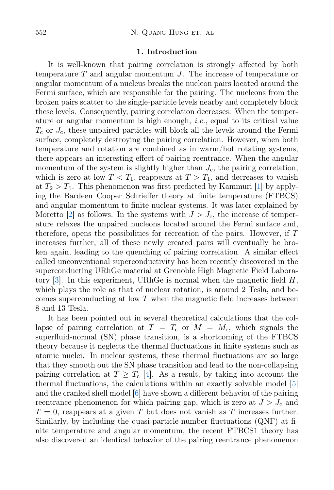#### 1. Introduction

It is well-known that pairing correlation is strongly affected by both temperature  $T$  and angular momentum  $J$ . The increase of temperature or angular momentum of a nucleus breaks the nucleon pairs located around the Fermi surface, which are responsible for the pairing. The nucleons from the broken pairs scatter to the single-particle levels nearby and completely block these levels. Consequently, pairing correlation decreases. When the temperature or angular momentum is high enough, *i.e.*, equal to its critical value  $T_c$  or  $J_c$ , these unpaired particles will block all the levels around the Fermi surface, completely destroying the pairing correlation. However, when both temperature and rotation are combined as in warm/hot rotating systems, there appears an interesting effect of pairing reentrance. When the angular momentum of the system is slightly higher than  $J_c$ , the pairing correlation, which is zero at low  $T < T_1$ , reappears at  $T > T_1$ , and decreases to vanish at  $T_2 > T_1$ . This phenomenon was first predicted by Kammuri [\[1\]](#page-7-0) by applying the Bardeen–Cooper–Schrieffer theory at finite temperature (FTBCS) and angular momentum to finite nuclear systems. It was later explained by Moretto [\[2\]](#page-7-1) as follows. In the systems with  $J > J_c$ , the increase of temperature relaxes the unpaired nucleons located around the Fermi surface and, therefore, opens the possibilities for recreation of the pairs. However, if T increases further, all of these newly created pairs will eventually be broken again, leading to the quenching of pairing correlation. A similar effect called unconventional superconductivity has been recently discovered in the superconducting URhGe material at Grenoble High Magnetic Field Labora-tory [\[3\]](#page-7-2). In this experiment, URhGe is normal when the magnetic field  $H$ , which plays the role as that of nuclear rotation, is around 2 Tesla, and becomes superconducting at low T when the magnetic field increases between 8 and 13 Tesla.

It has been pointed out in several theoretical calculations that the collapse of pairing correlation at  $T = T_c$  or  $M = M_c$ , which signals the superfluid-normal (SN) phase transition, is a shortcoming of the FTBCS theory because it neglects the thermal fluctuations in finite systems such as atomic nuclei. In nuclear systems, these thermal fluctuations are so large that they smooth out the SN phase transition and lead to the non-collapsing pairing correlation at  $T \geq T_c$  [\[4\]](#page-7-3). As a result, by taking into account the thermal fluctuations, the calculations within an exactly solvable model [\[5\]](#page-7-4) and the cranked shell model [\[6\]](#page-7-5) have shown a different behavior of the pairing reentrance phenomenon for which pairing gap, which is zero at  $J > J_c$  and  $T=0$ , reappears at a given T but does not vanish as T increases further. Similarly, by including the quasi-particle-number fluctuations (QNF) at finite temperature and angular momentum, the recent FTBCS1 theory has also discovered an identical behavior of the pairing reentrance phenomenon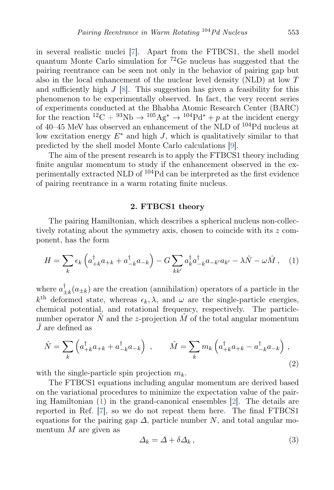in several realistic nuclei [\[7\]](#page-7-6). Apart from the FTBCS1, the shell model quantum Monte Carlo simulation for <sup>72</sup>Ge nucleus has suggested that the pairing reentrance can be seen not only in the behavior of pairing gap but also in the local enhancement of the nuclear level density (NLD) at low T and sufficiently high  $J$  [\[8\]](#page-7-7). This suggestion has given a feasibility for this phenomenon to be experimentally observed. In fact, the very recent series of experiments conducted at the Bhabha Atomic Research Center (BARC) for the reaction  ${}^{12}C + {}^{93}Nb \rightarrow {}^{105}Ag^* \rightarrow {}^{104}Pd^* + p$  at the incident energy of 40–45 MeV has observed an enhancement of the NLD of <sup>104</sup>Pd nucleus at low excitation energy  $E^*$  and high J, which is qualitatively similar to that predicted by the shell model Monte Carlo calculations [\[9\]](#page-7-8).

The aim of the present research is to apply the FTBCS1 theory including finite angular momentum to study if the enhancement observed in the experimentally extracted NLD of <sup>104</sup>Pd can be interpreted as the first evidence of pairing reentrance in a warm rotating finite nucleus.

## 2. FTBCS1 theory

The pairing Hamiltonian, which describes a spherical nucleus non-collectively rotating about the symmetry axis, chosen to coincide with its z component, has the form

<span id="page-2-0"></span>
$$
H = \sum_{k} \epsilon_k \left( a_{+k}^{\dagger} a_{+k} + a_{-k}^{\dagger} a_{-k} \right) - G \sum_{k k'} a_k^{\dagger} a_{-k}^{\dagger} a_{-k'} a_{k'} - \lambda \hat{N} - \omega \hat{M}, \quad (1)
$$

where  $a_+^{\dagger}$  $\mu_{\pm k}(a_{\pm k})$  are the creation (annihilation) operators of a particle in the  $k^{\text{th}}$  deformed state, whereas  $\epsilon_k, \lambda$ , and  $\omega$  are the single-particle energies, chemical potential, and rotational frequency, respectively. The particlenumber operator  $\hat{N}$  and the z-projection  $\hat{M}$  of the total angular momentum  $J$  are defined as

$$
\hat{N} = \sum_{k} \left( a_{+k}^{\dagger} a_{+k} + a_{-k}^{\dagger} a_{-k} \right) , \qquad \hat{M} = \sum_{k} m_{k} \left( a_{+k}^{\dagger} a_{+k} - a_{-k}^{\dagger} a_{-k} \right) , \tag{2}
$$

with the single-particle spin projection  $m_k$ .

The FTBCS1 equations including angular momentum are derived based on the variational procedures to minimize the expectation value of the pairing Hamiltonian  $(1)$  in the grand-canonical ensembles  $[2]$ . The details are reported in Ref. [\[7\]](#page-7-6), so we do not repeat them here. The final FTBCS1 equations for the pairing gap  $\Delta$ , particle number N, and total angular momentum  $M$  are given as

<span id="page-2-1"></span>
$$
\Delta_k = \Delta + \delta \Delta_k \,,\tag{3}
$$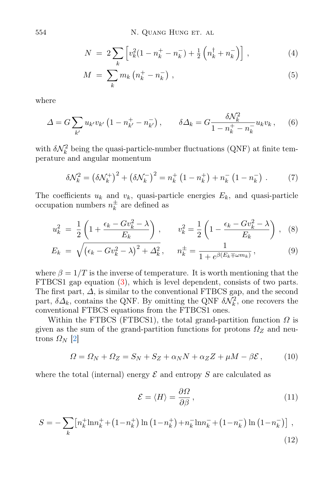554 N. QUANG HUNG ET. AL

$$
N = 2\sum_{k} \left[ v_{k}^{2} (1 - n_{k}^{+} - n_{k}^{-}) + \frac{1}{2} \left( n_{k}^{+} + n_{k}^{-} \right) \right],
$$
 (4)

$$
M = \sum_{k} m_k \left( n_k^+ - n_k^- \right) , \qquad (5)
$$

where

$$
\Delta = G \sum_{k'} u_{k'} v_{k'} \left( 1 - n_{k'}^+ - n_{k'}^- \right), \qquad \delta \Delta_k = G \frac{\delta \mathcal{N}_k^2}{1 - n_k^+ - n_k^-} u_k v_k, \qquad (6)
$$

with  $\delta \mathcal{N}_k^2$  being the quasi-particle-number fluctuations (QNF) at finite temperature and angular momentum

$$
\delta \mathcal{N}_k^2 = \left(\delta \mathcal{N}_k^+\right)^2 + \left(\delta \mathcal{N}_k^-\right)^2 = n_k^+ \left(1 - n_k^+\right) + n_k^- \left(1 - n_k^-\right) \,. \tag{7}
$$

The coefficients  $u_k$  and  $v_k$ , quasi-particle energies  $E_k$ , and quasi-particle occupation numbers  $n_k^{\pm}$  $\frac{1}{k}$  are defined as

$$
u_k^2 = \frac{1}{2} \left( 1 + \frac{\epsilon_k - G v_k^2 - \lambda}{E_k} \right), \qquad v_k^2 = \frac{1}{2} \left( 1 - \frac{\epsilon_k - G v_k^2 - \lambda}{E_k} \right), \tag{8}
$$

$$
E_k = \sqrt{(\epsilon_k - Gv_k^2 - \lambda)^2 + \Delta_k^2}, \qquad n_k^{\pm} = \frac{1}{1 + e^{\beta(E_k \mp \omega m_k)}},
$$
(9)

where  $\beta = 1/T$  is the inverse of temperature. It is worth mentioning that the FTBCS1 gap equation [\(3\)](#page-2-1), which is level dependent, consists of two parts. The first part,  $\Delta$ , is similar to the conventional FTBCS gap, and the second part,  $\delta \Delta_k$ , contains the QNF. By omitting the QNF  $\delta \mathcal{N}_k^2$ , one recovers the conventional FTBCS equations from the FTBCS1 ones.

Within the FTBCS (FTBCS1), the total grand-partition function  $\Omega$  is given as the sum of the grand-partition functions for protons  $\Omega_Z$  and neutrons  $\Omega_N$  [\[2\]](#page-7-1)

<span id="page-3-0"></span>
$$
\Omega = \Omega_N + \Omega_Z = S_N + S_Z + \alpha_N N + \alpha_Z Z + \mu M - \beta \mathcal{E}, \qquad (10)
$$

where the total (internal) energy  $\mathcal E$  and entropy  $S$  are calculated as

$$
\mathcal{E} = \langle H \rangle = \frac{\partial \Omega}{\partial \beta},\tag{11}
$$

$$
S = -\sum_{k} \left[ n_{k}^{+} \ln n_{k}^{+} + (1 - n_{k}^{+}) \ln (1 - n_{k}^{+}) + n_{k}^{-} \ln n_{k}^{-} + (1 - n_{k}^{-}) \ln (1 - n_{k}^{-}) \right],
$$
\n(12)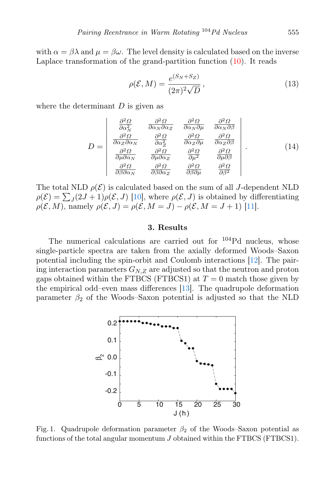with  $\alpha = \beta \lambda$  and  $\mu = \beta \omega$ . The level density is calculated based on the inverse Laplace transformation of the grand-partition function [\(10\)](#page-3-0). It reads

$$
\rho(\mathcal{E}, M) = \frac{e^{(S_N + S_Z)}}{(2\pi)^2 \sqrt{D}},
$$
\n(13)

where the determinant  $D$  is given as

$$
D = \begin{vmatrix} \frac{\partial^2 \Omega}{\partial \alpha_N^2} & \frac{\partial^2 \Omega}{\partial \alpha_N \partial \alpha_Z} & \frac{\partial^2 \Omega}{\partial \alpha_N \partial \mu} & \frac{\partial^2 \Omega}{\partial \alpha_N \partial \beta} \\ \frac{\partial^2 \Omega}{\partial \alpha_Z \partial \alpha_N} & \frac{\partial^2 \Omega}{\partial \alpha_Z^2} & \frac{\partial^2 \Omega}{\partial \alpha_Z \partial \mu} & \frac{\partial^2 \Omega}{\partial \alpha_Z \partial \beta} \\ \frac{\partial^2 \Omega}{\partial \mu \partial \alpha_N} & \frac{\partial^2 \Omega}{\partial \mu \partial \alpha_Z} & \frac{\partial^2 \Omega}{\partial \mu^2} & \frac{\partial^2 \Omega}{\partial \mu \partial \beta} \\ \frac{\partial^2 \Omega}{\partial \beta \partial \alpha_N} & \frac{\partial^2 \Omega}{\partial \beta \partial \alpha_Z} & \frac{\partial^2 \Omega}{\partial \beta \partial \mu} & \frac{\partial^2 \Omega}{\partial \beta^2} \end{vmatrix} . \tag{14}
$$

The total NLD  $\rho(\mathcal{E})$  is calculated based on the sum of all J-dependent NLD  $\rho(\mathcal{E}) = \sum_J (2J + 1) \rho(\mathcal{E}, J)$  [\[10\]](#page-7-9), where  $\rho(\mathcal{E}, J)$  is obtained by differentiating  $\rho(\mathcal{E}, M)$ , namely  $\rho(\mathcal{E}, J) = \rho(\mathcal{E}, M = J) - \rho(\mathcal{E}, M = J + 1)$  [\[11\]](#page-7-10).

### 3. Results

The numerical calculations are carried out for <sup>104</sup>Pd nucleus, whose single-particle spectra are taken from the axially deformed Woods–Saxon potential including the spin-orbit and Coulomb interactions [\[12\]](#page-7-11). The pairing interaction parameters  $G_{N,Z}$  are adjusted so that the neutron and proton gaps obtained within the FTBCS (FTBCS1) at  $T = 0$  match those given by the empirical odd–even mass differences [\[13\]](#page-7-12). The quadrupole deformation parameter  $\beta_2$  of the Woods–Saxon potential is adjusted so that the NLD



<span id="page-4-0"></span>Fig. 1. Quadrupole deformation parameter  $\beta_2$  of the Woods–Saxon potential as functions of the total angular momentum J obtained within the FTBCS (FTBCS1).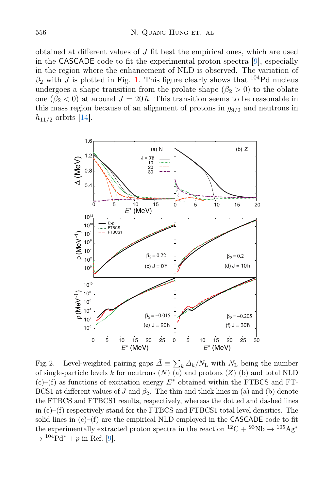obtained at different values of  $J$  fit best the empirical ones, which are used in the CASCADE code to fit the experimental proton spectra [\[9\]](#page-7-8), especially in the region where the enhancement of NLD is observed. The variation of  $\beta_2$  with J is plotted in Fig. [1.](#page-4-0) This figure clearly shows that <sup>104</sup>Pd nucleus undergoes a shape transition from the prolate shape  $(\beta_2 > 0)$  to the oblate one ( $\beta_2 < 0$ ) at around  $J = 20 \hbar$ . This transition seems to be reasonable in this mass region because of an alignment of protons in  $g_{9/2}$  and neutrons in  $h_{11/2}$  orbits [\[14\]](#page-7-13).



<span id="page-5-0"></span>Fig. 2. Level-weighted pairing gaps  $\bar{\Delta} \equiv \sum_{k} \Delta_k / N_{\rm L}$  with  $N_{\rm L}$  being the number of single-particle levels k for neutrons  $(N)$  (a) and protons  $(Z)$  (b) and total NLD  $(c)$ –(f) as functions of excitation energy  $E^*$  obtained within the FTBCS and FT-BCS1 at different values of J and  $\beta_2$ . The thin and thick lines in (a) and (b) denote the FTBCS and FTBCS1 results, respectively, whereas the dotted and dashed lines in  $(c)$ –(f) respectively stand for the FTBCS and FTBCS1 total level densities. The solid lines in  $(c)$ – $(f)$  are the empirical NLD employed in the CASCADE code to fit the experimentally extracted proton spectra in the reaction  ${}^{12}\mathrm{C} + {}^{93}\mathrm{Nb} \rightarrow {}^{105}\mathrm{Ag}^*$  $\rightarrow$  <sup>104</sup>Pd<sup>\*</sup> + p in Ref. [\[9\]](#page-7-8).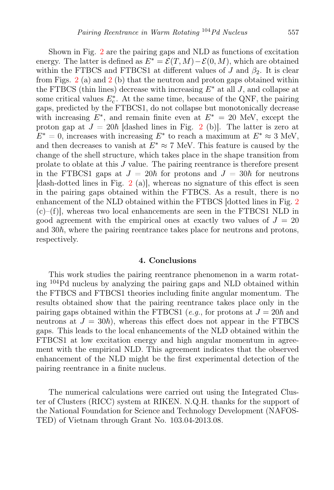Shown in Fig. [2](#page-5-0) are the pairing gaps and NLD as functions of excitation energy. The latter is defined as  $E^* = \mathcal{E}(T, M) - \mathcal{E}(0, M)$ , which are obtained within the FTBCS and FTBCS1 at different values of J and  $\beta_2$ . It is clear from Figs. [2](#page-5-0) (a) and 2 (b) that the neutron and proton gaps obtained within the FTBCS (thin lines) decrease with increasing  $E^*$  at all J, and collapse at some critical values  $E_c^*$ . At the same time, because of the QNF, the pairing gaps, predicted by the FTBCS1, do not collapse but monotonically decrease with increasing  $E^*$ , and remain finite even at  $E^* = 20$  MeV, except the proton gap at  $J = 20\hbar$  $J = 20\hbar$  $J = 20\hbar$  [dashed lines in Fig. 2 (b)]. The latter is zero at  $E^* = 0$ , increases with increasing  $E^*$  to reach a maximum at  $E^* \approx 3$  MeV, and then decreases to vanish at  $E^* \approx 7$  MeV. This feature is caused by the change of the shell structure, which takes place in the shape transition from prolate to oblate at this J value. The pairing reentrance is therefore present in the FTBCS1 gaps at  $J = 20\hbar$  for protons and  $J = 30\hbar$  for neutrons [dash-dotted lines in Fig. [2](#page-5-0) (a)], whereas no signature of this effect is seen in the pairing gaps obtained within the FTBCS. As a result, there is no enhancement of the NLD obtained within the FTBCS [dotted lines in Fig. [2](#page-5-0)  $(c)$ –(f), whereas two local enhancements are seen in the FTBCS1 NLD in good agreement with the empirical ones at exactly two values of  $J = 20$ and  $30\hbar$ , where the pairing reentrance takes place for neutrons and protons, respectively.

#### 4. Conclusions

This work studies the pairing reentrance phenomenon in a warm rotating <sup>104</sup>Pd nucleus by analyzing the pairing gaps and NLD obtained within the FTBCS and FTBCS1 theories including finite angular momentum. The results obtained show that the pairing reentrance takes place only in the pairing gaps obtained within the FTBCS1 (e.g., for protons at  $J = 20\hbar$  and neutrons at  $J = 30\hbar$ , whereas this effect does not appear in the FTBCS gaps. This leads to the local enhancements of the NLD obtained within the FTBCS1 at low excitation energy and high angular momentum in agreement with the empirical NLD. This agreement indicates that the observed enhancement of the NLD might be the first experimental detection of the pairing reentrance in a finite nucleus.

The numerical calculations were carried out using the Integrated Cluster of Clusters (RICC) system at RIKEN. N.Q.H. thanks for the support of the National Foundation for Science and Technology Development (NAFOS-TED) of Vietnam through Grant No. 103.04-2013.08.